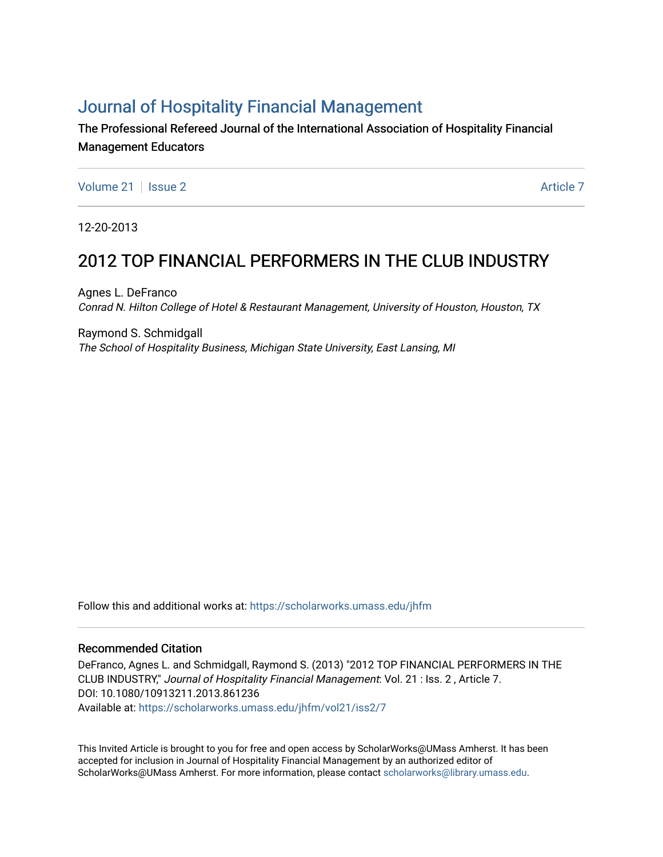# [Journal of Hospitality Financial Management](https://scholarworks.umass.edu/jhfm)

The Professional Refereed Journal of the International Association of Hospitality Financial Management Educators

[Volume 21](https://scholarworks.umass.edu/jhfm/vol21) | [Issue 2](https://scholarworks.umass.edu/jhfm/vol21/iss2) Article 7

12-20-2013

# 2012 TOP FINANCIAL PERFORMERS IN THE CLUB INDUSTRY

Agnes L. DeFranco Conrad N. Hilton College of Hotel & Restaurant Management, University of Houston, Houston, TX

Raymond S. Schmidgall The School of Hospitality Business, Michigan State University, East Lansing, MI

Follow this and additional works at: [https://scholarworks.umass.edu/jhfm](https://scholarworks.umass.edu/jhfm?utm_source=scholarworks.umass.edu%2Fjhfm%2Fvol21%2Fiss2%2F7&utm_medium=PDF&utm_campaign=PDFCoverPages) 

# Recommended Citation

DeFranco, Agnes L. and Schmidgall, Raymond S. (2013) "2012 TOP FINANCIAL PERFORMERS IN THE CLUB INDUSTRY," Journal of Hospitality Financial Management: Vol. 21 : Iss. 2 , Article 7. DOI: 10.1080/10913211.2013.861236 Available at: [https://scholarworks.umass.edu/jhfm/vol21/iss2/7](https://scholarworks.umass.edu/jhfm/vol21/iss2/7?utm_source=scholarworks.umass.edu%2Fjhfm%2Fvol21%2Fiss2%2F7&utm_medium=PDF&utm_campaign=PDFCoverPages) 

This Invited Article is brought to you for free and open access by ScholarWorks@UMass Amherst. It has been accepted for inclusion in Journal of Hospitality Financial Management by an authorized editor of ScholarWorks@UMass Amherst. For more information, please contact [scholarworks@library.umass.edu.](mailto:scholarworks@library.umass.edu)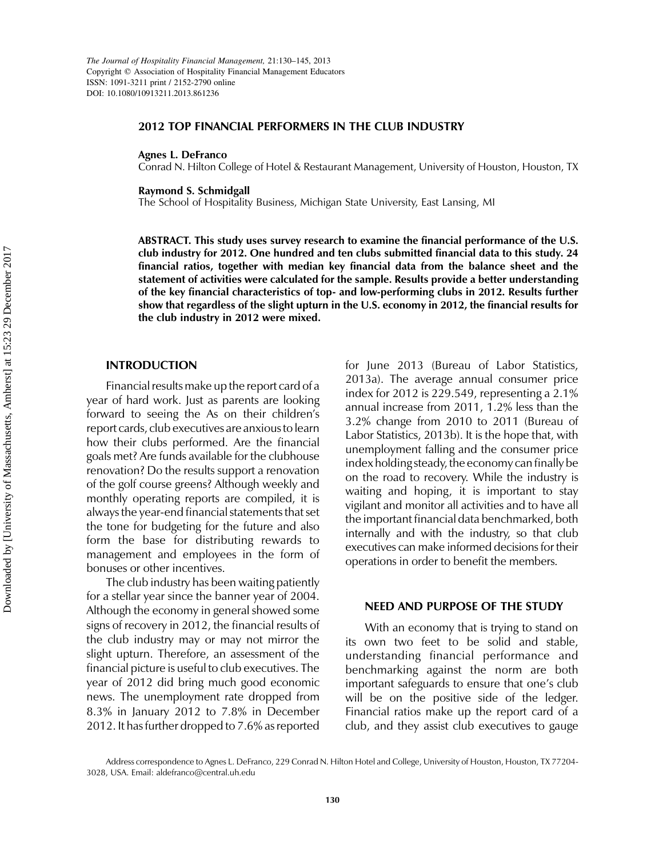#### 2012 TOP FINANCIAL PERFORMERS IN THE CLUB INDUSTRY

#### Agnes L. DeFranco

Conrad N. Hilton College of Hotel & Restaurant Management, University of Houston, Houston, TX

Raymond S. Schmidgall

The School of Hospitality Business, Michigan State University, East Lansing, MI

ABSTRACT. This study uses survey research to examine the financial performance of the U.S. club industry for 2012. One hundred and ten clubs submitted financial data to this study. 24 financial ratios, together with median key financial data from the balance sheet and the statement of activities were calculated for the sample. Results provide a better understanding of the key financial characteristics of top- and low-performing clubs in 2012. Results further show that regardless of the slight upturn in the U.S. economy in 2012, the financial results for the club industry in 2012 were mixed.

#### INTRODUCTION

Financial results make up the report card of a year of hard work. Just as parents are looking forward to seeing the As on their children's report cards, club executives are anxious to learn how their clubs performed. Are the financial goals met? Are funds available for the clubhouse renovation? Do the results support a renovation of the golf course greens? Although weekly and monthly operating reports are compiled, it is always the year-end financial statements that set the tone for budgeting for the future and also form the base for distributing rewards to management and employees in the form of bonuses or other incentives.

The club industry has been waiting patiently for a stellar year since the banner year of 2004. Although the economy in general showed some signs of recovery in 2012, the financial results of the club industry may or may not mirror the slight upturn. Therefore, an assessment of the financial picture is useful to club executives. The year of 2012 did bring much good economic news. The unemployment rate dropped from 8.3% in January 2012 to 7.8% in December 2012. It has further dropped to 7.6% as reported for June 2013 (Bureau of Labor Statistics, 2013a). The average annual consumer price index for 2012 is 229.549, representing a 2.1% annual increase from 2011, 1.2% less than the 3.2% change from 2010 to 2011 (Bureau of Labor Statistics, 2013b). It is the hope that, with unemployment falling and the consumer price index holding steady, the economy can finally be on the road to recovery. While the industry is waiting and hoping, it is important to stay vigilant and monitor all activities and to have all the important financial data benchmarked, both internally and with the industry, so that club executives can make informed decisions for their operations in order to benefit the members.

### NEED AND PURPOSE OF THE STUDY

With an economy that is trying to stand on its own two feet to be solid and stable, understanding financial performance and benchmarking against the norm are both important safeguards to ensure that one's club will be on the positive side of the ledger. Financial ratios make up the report card of a club, and they assist club executives to gauge

Address correspondence to Agnes L. DeFranco, 229 Conrad N. Hilton Hotel and College, University of Houston, Houston, TX 77204- 3028, USA. Email: aldefranco@central.uh.edu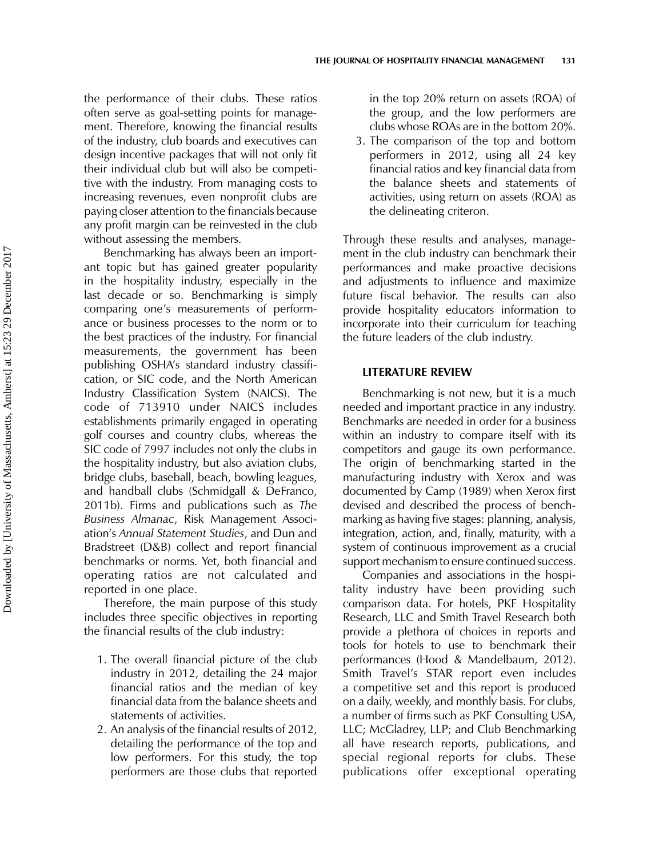the performance of their clubs. These ratios often serve as goal-setting points for management. Therefore, knowing the financial results of the industry, club boards and executives can design incentive packages that will not only fit their individual club but will also be competitive with the industry. From managing costs to increasing revenues, even nonprofit clubs are paying closer attention to the financials because any profit margin can be reinvested in the club without assessing the members.

Benchmarking has always been an important topic but has gained greater popularity in the hospitality industry, especially in the last decade or so. Benchmarking is simply comparing one's measurements of performance or business processes to the norm or to the best practices of the industry. For financial measurements, the government has been publishing OSHA's standard industry classification, or SIC code, and the North American Industry Classification System (NAICS). The code of 713910 under NAICS includes establishments primarily engaged in operating golf courses and country clubs, whereas the SIC code of 7997 includes not only the clubs in the hospitality industry, but also aviation clubs, bridge clubs, baseball, beach, bowling leagues, and handball clubs (Schmidgall & DeFranco, 2011b). Firms and publications such as The Business Almanac, Risk Management Association's Annual Statement Studies, and Dun and Bradstreet (D&B) collect and report financial benchmarks or norms. Yet, both financial and operating ratios are not calculated and reported in one place.

Therefore, the main purpose of this study includes three specific objectives in reporting the financial results of the club industry:

- 1. The overall financial picture of the club industry in 2012, detailing the 24 major financial ratios and the median of key financial data from the balance sheets and statements of activities.
- 2. An analysis of the financial results of 2012, detailing the performance of the top and low performers. For this study, the top performers are those clubs that reported

in the top 20% return on assets (ROA) of the group, and the low performers are clubs whose ROAs are in the bottom 20%.

3. The comparison of the top and bottom performers in 2012, using all 24 key financial ratios and key financial data from the balance sheets and statements of activities, using return on assets (ROA) as the delineating criteron.

Through these results and analyses, management in the club industry can benchmark their performances and make proactive decisions and adjustments to influence and maximize future fiscal behavior. The results can also provide hospitality educators information to incorporate into their curriculum for teaching the future leaders of the club industry.

#### LITERATURE REVIEW

Benchmarking is not new, but it is a much needed and important practice in any industry. Benchmarks are needed in order for a business within an industry to compare itself with its competitors and gauge its own performance. The origin of benchmarking started in the manufacturing industry with Xerox and was documented by Camp (1989) when Xerox first devised and described the process of benchmarking as having five stages: planning, analysis, integration, action, and, finally, maturity, with a system of continuous improvement as a crucial support mechanism to ensure continued success.

Companies and associations in the hospitality industry have been providing such comparison data. For hotels, PKF Hospitality Research, LLC and Smith Travel Research both provide a plethora of choices in reports and tools for hotels to use to benchmark their performances (Hood & Mandelbaum, 2012). Smith Travel's STAR report even includes a competitive set and this report is produced on a daily, weekly, and monthly basis. For clubs, a number of firms such as PKF Consulting USA, LLC; McGladrey, LLP; and Club Benchmarking all have research reports, publications, and special regional reports for clubs. These publications offer exceptional operating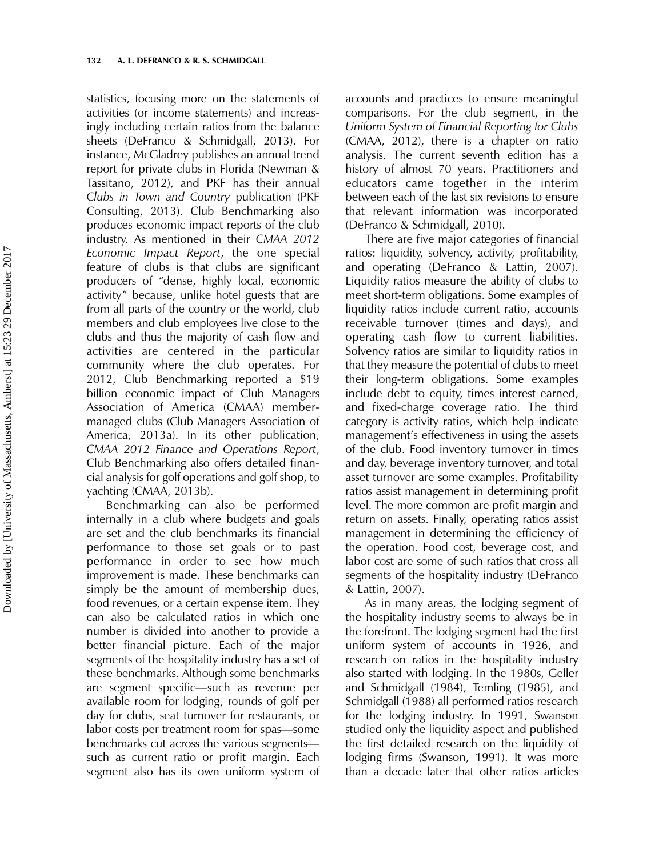statistics, focusing more on the statements of activities (or income statements) and increasingly including certain ratios from the balance sheets (DeFranco & Schmidgall, 2013). For instance, McGladrey publishes an annual trend report for private clubs in Florida (Newman & Tassitano, 2012), and PKF has their annual Clubs in Town and Country publication (PKF Consulting, 2013). Club Benchmarking also produces economic impact reports of the club industry. As mentioned in their CMAA 2012 Economic Impact Report, the one special feature of clubs is that clubs are significant producers of "dense, highly local, economic activity" because, unlike hotel guests that are from all parts of the country or the world, club members and club employees live close to the clubs and thus the majority of cash flow and activities are centered in the particular community where the club operates. For 2012, Club Benchmarking reported a \$19 billion economic impact of Club Managers Association of America (CMAA) membermanaged clubs (Club Managers Association of America, 2013a). In its other publication, CMAA 2012 Finance and Operations Report, Club Benchmarking also offers detailed financial analysis for golf operations and golf shop, to yachting (CMAA, 2013b).

Benchmarking can also be performed internally in a club where budgets and goals are set and the club benchmarks its financial performance to those set goals or to past performance in order to see how much improvement is made. These benchmarks can simply be the amount of membership dues, food revenues, or a certain expense item. They can also be calculated ratios in which one number is divided into another to provide a better financial picture. Each of the major segments of the hospitality industry has a set of these benchmarks. Although some benchmarks are segment specific—such as revenue per available room for lodging, rounds of golf per day for clubs, seat turnover for restaurants, or labor costs per treatment room for spas—some benchmarks cut across the various segments such as current ratio or profit margin. Each segment also has its own uniform system of accounts and practices to ensure meaningful comparisons. For the club segment, in the Uniform System of Financial Reporting for Clubs (CMAA, 2012), there is a chapter on ratio analysis. The current seventh edition has a history of almost 70 years. Practitioners and educators came together in the interim between each of the last six revisions to ensure that relevant information was incorporated (DeFranco & Schmidgall, 2010).

There are five major categories of financial ratios: liquidity, solvency, activity, profitability, and operating (DeFranco & Lattin, 2007). Liquidity ratios measure the ability of clubs to meet short-term obligations. Some examples of liquidity ratios include current ratio, accounts receivable turnover (times and days), and operating cash flow to current liabilities. Solvency ratios are similar to liquidity ratios in that they measure the potential of clubs to meet their long-term obligations. Some examples include debt to equity, times interest earned, and fixed-charge coverage ratio. The third category is activity ratios, which help indicate management's effectiveness in using the assets of the club. Food inventory turnover in times and day, beverage inventory turnover, and total asset turnover are some examples. Profitability ratios assist management in determining profit level. The more common are profit margin and return on assets. Finally, operating ratios assist management in determining the efficiency of the operation. Food cost, beverage cost, and labor cost are some of such ratios that cross all segments of the hospitality industry (DeFranco & Lattin, 2007).

As in many areas, the lodging segment of the hospitality industry seems to always be in the forefront. The lodging segment had the first uniform system of accounts in 1926, and research on ratios in the hospitality industry also started with lodging. In the 1980s, Geller and Schmidgall (1984), Temling (1985), and Schmidgall (1988) all performed ratios research for the lodging industry. In 1991, Swanson studied only the liquidity aspect and published the first detailed research on the liquidity of lodging firms (Swanson, 1991). It was more than a decade later that other ratios articles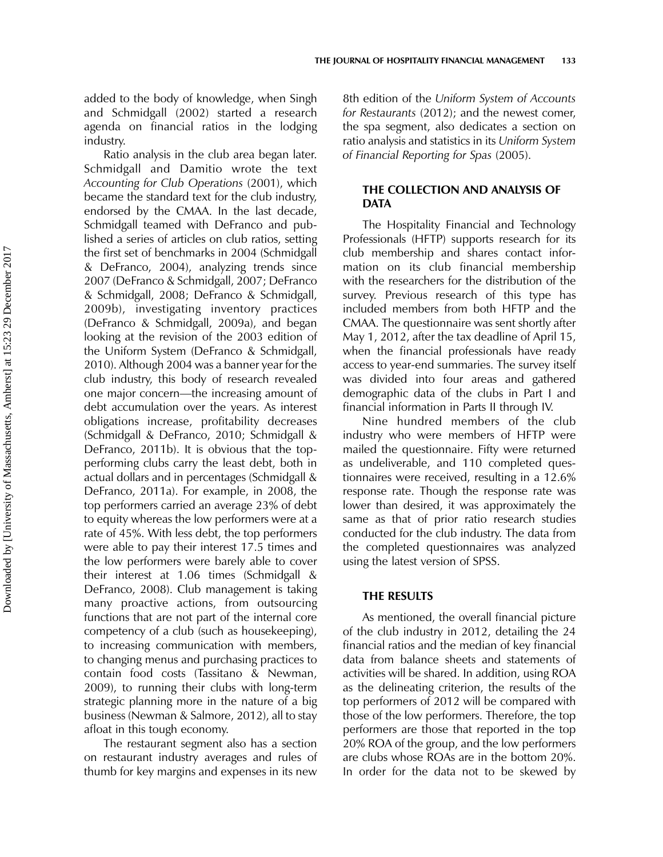added to the body of knowledge, when Singh and Schmidgall (2002) started a research agenda on financial ratios in the lodging industry.

Ratio analysis in the club area began later. Schmidgall and Damitio wrote the text Accounting for Club Operations (2001), which became the standard text for the club industry, endorsed by the CMAA. In the last decade, Schmidgall teamed with DeFranco and published a series of articles on club ratios, setting the first set of benchmarks in 2004 (Schmidgall & DeFranco, 2004), analyzing trends since 2007 (DeFranco & Schmidgall, 2007; DeFranco & Schmidgall, 2008; DeFranco & Schmidgall, 2009b), investigating inventory practices (DeFranco & Schmidgall, 2009a), and began looking at the revision of the 2003 edition of the Uniform System (DeFranco & Schmidgall, 2010). Although 2004 was a banner year for the club industry, this body of research revealed one major concern—the increasing amount of debt accumulation over the years. As interest obligations increase, profitability decreases (Schmidgall & DeFranco, 2010; Schmidgall & DeFranco, 2011b). It is obvious that the topperforming clubs carry the least debt, both in actual dollars and in percentages (Schmidgall & DeFranco, 2011a). For example, in 2008, the top performers carried an average 23% of debt to equity whereas the low performers were at a rate of 45%. With less debt, the top performers were able to pay their interest 17.5 times and the low performers were barely able to cover their interest at 1.06 times (Schmidgall & DeFranco, 2008). Club management is taking many proactive actions, from outsourcing functions that are not part of the internal core competency of a club (such as housekeeping), to increasing communication with members, to changing menus and purchasing practices to contain food costs (Tassitano & Newman, 2009), to running their clubs with long-term strategic planning more in the nature of a big business (Newman & Salmore, 2012), all to stay afloat in this tough economy.

The restaurant segment also has a section on restaurant industry averages and rules of thumb for key margins and expenses in its new 8th edition of the Uniform System of Accounts for Restaurants (2012); and the newest comer, the spa segment, also dedicates a section on ratio analysis and statistics in its Uniform System of Financial Reporting for Spas (2005).

# THE COLLECTION AND ANALYSIS OF **DATA**

The Hospitality Financial and Technology Professionals (HFTP) supports research for its club membership and shares contact information on its club financial membership with the researchers for the distribution of the survey. Previous research of this type has included members from both HFTP and the CMAA. The questionnaire was sent shortly after May 1, 2012, after the tax deadline of April 15, when the financial professionals have ready access to year-end summaries. The survey itself was divided into four areas and gathered demographic data of the clubs in Part I and financial information in Parts II through IV.

Nine hundred members of the club industry who were members of HFTP were mailed the questionnaire. Fifty were returned as undeliverable, and 110 completed questionnaires were received, resulting in a 12.6% response rate. Though the response rate was lower than desired, it was approximately the same as that of prior ratio research studies conducted for the club industry. The data from the completed questionnaires was analyzed using the latest version of SPSS.

### THE RESULTS

As mentioned, the overall financial picture of the club industry in 2012, detailing the 24 financial ratios and the median of key financial data from balance sheets and statements of activities will be shared. In addition, using ROA as the delineating criterion, the results of the top performers of 2012 will be compared with those of the low performers. Therefore, the top performers are those that reported in the top 20% ROA of the group, and the low performers are clubs whose ROAs are in the bottom 20%. In order for the data not to be skewed by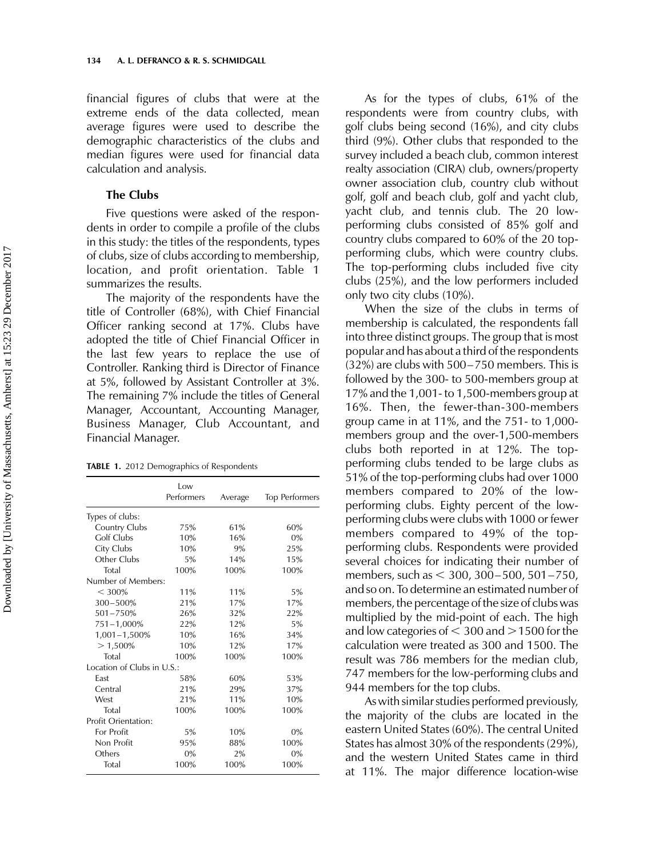financial figures of clubs that were at the extreme ends of the data collected, mean average figures were used to describe the demographic characteristics of the clubs and median figures were used for financial data calculation and analysis.

### The Clubs

Five questions were asked of the respondents in order to compile a profile of the clubs in this study: the titles of the respondents, types of clubs, size of clubs according to membership, location, and profit orientation. Table 1 summarizes the results.

The majority of the respondents have the title of Controller (68%), with Chief Financial Officer ranking second at 17%. Clubs have adopted the title of Chief Financial Officer in the last few years to replace the use of Controller. Ranking third is Director of Finance at 5%, followed by Assistant Controller at 3%. The remaining 7% include the titles of General Manager, Accountant, Accounting Manager, Business Manager, Club Accountant, and Financial Manager.

TABLE 1. 2012 Demographics of Respondents

|                            | Low<br>Performers | Average | <b>Top Performers</b> |  |  |  |
|----------------------------|-------------------|---------|-----------------------|--|--|--|
| Types of clubs:            |                   |         |                       |  |  |  |
| Country Clubs              | 75%               | 61%     | 60%                   |  |  |  |
| Golf Clubs                 | 10%               | 16%     | 0%                    |  |  |  |
| City Clubs                 | 10%               | 9%      | 25%                   |  |  |  |
| Other Clubs                | 5%                | 14%     | 15%                   |  |  |  |
| Total                      | 100%              | 100%    | 100%                  |  |  |  |
| Number of Members:         |                   |         |                       |  |  |  |
| < 300%                     | 11%               | 11%     | 5%                    |  |  |  |
| $300 - 500%$               | 21%               | 17%     | 17%                   |  |  |  |
| $501 - 750%$               | 26%               | 32%     | 22%                   |  |  |  |
| 751-1,000%                 | 22%               | 12%     | 5%                    |  |  |  |
| $1,001 - 1,500\%$          | 10%               | 16%     | 34%                   |  |  |  |
| $>1,500\%$                 | 10%               | 12%     | 17%                   |  |  |  |
| Total                      | 100%              | 100%    | 100%                  |  |  |  |
| Location of Clubs in U.S.: |                   |         |                       |  |  |  |
| East                       | 58%               | 60%     | 53%                   |  |  |  |
| Central                    | 21%               | 29%     | 37%                   |  |  |  |
| West                       | 21%               | 11%     | 10%                   |  |  |  |
| Total                      | 100%              | 100%    | 100%                  |  |  |  |
| <b>Profit Orientation:</b> |                   |         |                       |  |  |  |
| For Profit                 | 5%                | 10%     | 0%                    |  |  |  |
| Non Profit                 | 95%               | 88%     | 100%                  |  |  |  |
| Others                     | 0%                | 2%      | 0%                    |  |  |  |
| Total                      | 100%              | 100%    | 100%                  |  |  |  |

As for the types of clubs, 61% of the respondents were from country clubs, with golf clubs being second (16%), and city clubs third (9%). Other clubs that responded to the survey included a beach club, common interest realty association (CIRA) club, owners/property owner association club, country club without golf, golf and beach club, golf and yacht club, yacht club, and tennis club. The 20 lowperforming clubs consisted of 85% golf and country clubs compared to 60% of the 20 topperforming clubs, which were country clubs. The top-performing clubs included five city clubs (25%), and the low performers included only two city clubs (10%).

When the size of the clubs in terms of membership is calculated, the respondents fall into three distinct groups. The group that is most popular and has about a third of the respondents (32%) are clubs with 500–750 members. This is followed by the 300- to 500-members group at 17% and the 1,001- to 1,500-members group at 16%. Then, the fewer-than-300-members group came in at 11%, and the 751- to 1,000 members group and the over-1,500-members clubs both reported in at 12%. The topperforming clubs tended to be large clubs as 51% of the top-performing clubs had over 1000 members compared to 20% of the lowperforming clubs. Eighty percent of the lowperforming clubs were clubs with 1000 or fewer members compared to 49% of the topperforming clubs. Respondents were provided several choices for indicating their number of members, such as < 300, 300-500, 501-750, and so on. To determine an estimated number of members, the percentage of the size of clubs was multiplied by the mid-point of each. The high and low categories of  $<$  300 and  $>$  1500 for the calculation were treated as 300 and 1500. The result was 786 members for the median club, 747 members for the low-performing clubs and 944 members for the top clubs.

As with similar studies performed previously, the majority of the clubs are located in the eastern United States (60%). The central United States has almost 30% of the respondents (29%), and the western United States came in third at 11%. The major difference location-wise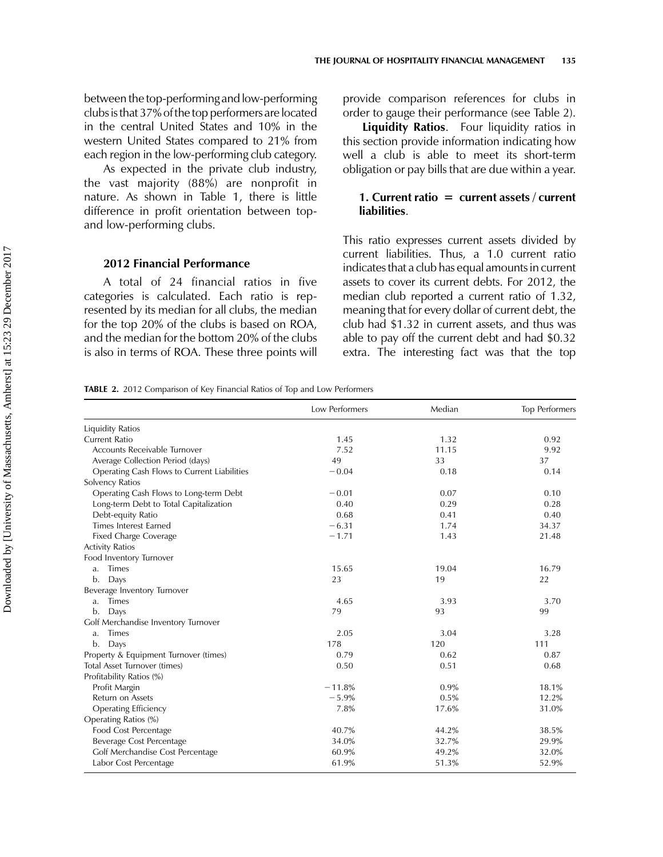between the top-performing and low-performing clubs isthat 37% ofthetop performers are located in the central United States and 10% in the western United States compared to 21% from each region in the low-performing club category.

As expected in the private club industry, the vast majority (88%) are nonprofit in nature. As shown in Table 1, there is little difference in profit orientation between topand low-performing clubs.

# 2012 Financial Performance

A total of 24 financial ratios in five categories is calculated. Each ratio is represented by its median for all clubs, the median for the top 20% of the clubs is based on ROA, and the median for the bottom 20% of the clubs is also in terms of ROA. These three points will provide comparison references for clubs in order to gauge their performance (see Table 2).

**Liquidity Ratios.** Four liquidity ratios in this section provide information indicating how well a club is able to meet its short-term obligation or pay bills that are due within a year.

### 1. Current ratio  $=$  current assets / current **liabilities**

This ratio expresses current assets divided by current liabilities. Thus, a 1.0 current ratio indicates that a club has equal amounts in current assets to cover its current debts. For 2012, the median club reported a current ratio of 1.32, meaning that for every dollar of current debt, the club had \$1.32 in current assets, and thus was able to pay off the current debt and had \$0.32 extra. The interesting fact was that the top

TABLE 2. 2012 Comparison of Key Financial Ratios of Top and Low Performers

|                                             | Low Performers | Median | <b>Top Performers</b> |
|---------------------------------------------|----------------|--------|-----------------------|
| <b>Liquidity Ratios</b>                     |                |        |                       |
| <b>Current Ratio</b>                        | 1.45           | 1.32   | 0.92                  |
| Accounts Receivable Turnover                | 7.52           | 11.15  | 9.92                  |
| Average Collection Period (days)            | 49             | 33     | 37                    |
| Operating Cash Flows to Current Liabilities | $-0.04$        | 0.18   | 0.14                  |
| Solvency Ratios                             |                |        |                       |
| Operating Cash Flows to Long-term Debt      | $-0.01$        | 0.07   | 0.10                  |
| Long-term Debt to Total Capitalization      | 0.40           | 0.29   | 0.28                  |
| Debt-equity Ratio                           | 0.68           | 0.41   | 0.40                  |
| <b>Times Interest Earned</b>                | $-6.31$        | 1.74   | 34.37                 |
| Fixed Charge Coverage                       | $-1.71$        | 1.43   | 21.48                 |
| <b>Activity Ratios</b>                      |                |        |                       |
| Food Inventory Turnover                     |                |        |                       |
| <b>Times</b><br>a.                          | 15.65          | 19.04  | 16.79                 |
| Days<br>b.                                  | 23             | 19     | 22                    |
| Beverage Inventory Turnover                 |                |        |                       |
| <b>Times</b><br>a.                          | 4.65           | 3.93   | 3.70                  |
| b.<br>Days                                  | 79             | 93     | 99                    |
| Golf Merchandise Inventory Turnover         |                |        |                       |
| <b>Times</b><br>a.                          | 2.05           | 3.04   | 3.28                  |
| Days<br>b.                                  | 178            | 120    | 111                   |
| Property & Equipment Turnover (times)       | 0.79           | 0.62   | 0.87                  |
| Total Asset Turnover (times)                | 0.50           | 0.51   | 0.68                  |
| Profitability Ratios (%)                    |                |        |                       |
| Profit Margin                               | $-11.8%$       | 0.9%   | 18.1%                 |
| Return on Assets                            | $-5.9%$        | 0.5%   | 12.2%                 |
| <b>Operating Efficiency</b>                 | 7.8%           | 17.6%  | 31.0%                 |
| Operating Ratios (%)                        |                |        |                       |
| Food Cost Percentage                        | 40.7%          | 44.2%  | 38.5%                 |
| Beverage Cost Percentage                    | 34.0%          | 32.7%  | 29.9%                 |
| Golf Merchandise Cost Percentage            | 60.9%          | 49.2%  | 32.0%                 |
| Labor Cost Percentage                       | 61.9%          | 51.3%  | 52.9%                 |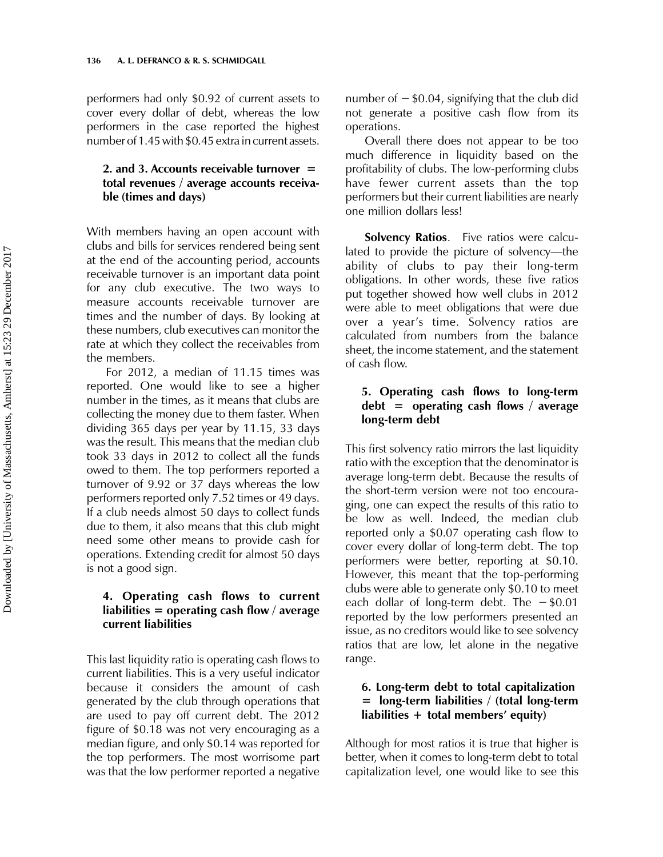performers had only \$0.92 of current assets to cover every dollar of debt, whereas the low performers in the case reported the highest number of 1.45 with \$0.45 extra in current assets.

# 2. and 3. Accounts receivable turnover  $=$ total revenues / average accounts receivable (times and days)

With members having an open account with clubs and bills for services rendered being sent at the end of the accounting period, accounts receivable turnover is an important data point for any club executive. The two ways to measure accounts receivable turnover are times and the number of days. By looking at these numbers, club executives can monitor the rate at which they collect the receivables from the members.

For 2012, a median of 11.15 times was reported. One would like to see a higher number in the times, as it means that clubs are collecting the money due to them faster. When dividing 365 days per year by 11.15, 33 days was the result. This means that the median club took 33 days in 2012 to collect all the funds owed to them. The top performers reported a turnover of 9.92 or 37 days whereas the low performers reported only 7.52 times or 49 days. If a club needs almost 50 days to collect funds due to them, it also means that this club might need some other means to provide cash for operations. Extending credit for almost 50 days is not a good sign.

## 4. Operating cash flows to current liabilities  $=$  operating cash flow / average current liabilities

This last liquidity ratio is operating cash flows to current liabilities. This is a very useful indicator because it considers the amount of cash generated by the club through operations that are used to pay off current debt. The 2012 figure of \$0.18 was not very encouraging as a median figure, and only \$0.14 was reported for the top performers. The most worrisome part was that the low performer reported a negative

number of  $-$  \$0.04, signifying that the club did not generate a positive cash flow from its operations.

Overall there does not appear to be too much difference in liquidity based on the profitability of clubs. The low-performing clubs have fewer current assets than the top performers but their current liabilities are nearly one million dollars less!

Solvency Ratios. Five ratios were calculated to provide the picture of solvency—the ability of clubs to pay their long-term obligations. In other words, these five ratios put together showed how well clubs in 2012 were able to meet obligations that were due over a year's time. Solvency ratios are calculated from numbers from the balance sheet, the income statement, and the statement of cash flow.

# 5. Operating cash flows to long-term  $\delta$  debt = operating cash flows / average long-term debt

This first solvency ratio mirrors the last liquidity ratio with the exception that the denominator is average long-term debt. Because the results of the short-term version were not too encouraging, one can expect the results of this ratio to be low as well. Indeed, the median club reported only a \$0.07 operating cash flow to cover every dollar of long-term debt. The top performers were better, reporting at \$0.10. However, this meant that the top-performing clubs were able to generate only \$0.10 to meet each dollar of long-term debt. The  $-$ \$0.01 reported by the low performers presented an issue, as no creditors would like to see solvency ratios that are low, let alone in the negative range.

# 6. Long-term debt to total capitalization  $=$  long-term liabilities / (total long-term liabilities  $+$  total members' equity)

Although for most ratios it is true that higher is better, when it comes to long-term debt to total capitalization level, one would like to see this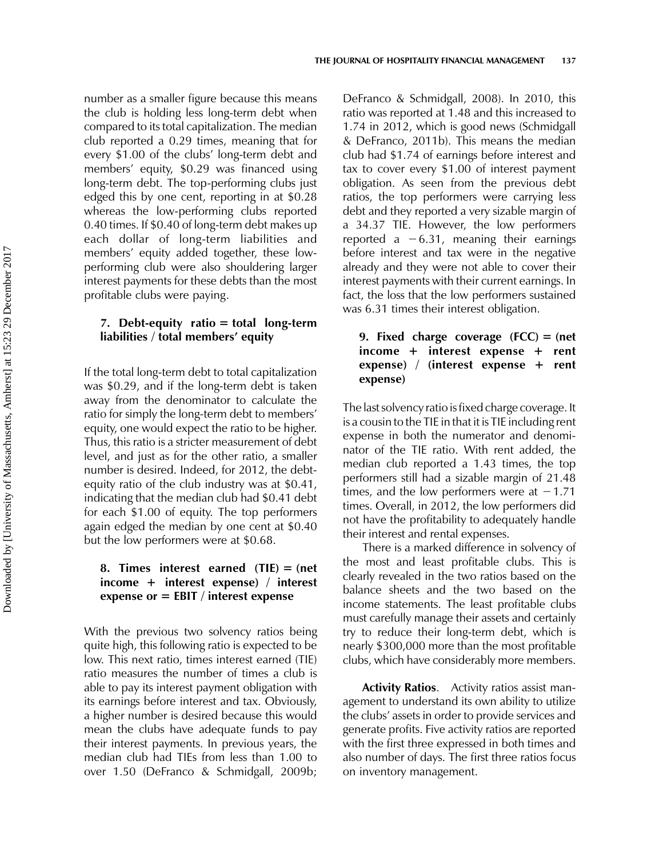number as a smaller figure because this means the club is holding less long-term debt when compared to its total capitalization. The median club reported a 0.29 times, meaning that for every \$1.00 of the clubs' long-term debt and members' equity, \$0.29 was financed using long-term debt. The top-performing clubs just edged this by one cent, reporting in at \$0.28 whereas the low-performing clubs reported 0.40 times. If \$0.40 of long-term debt makes up each dollar of long-term liabilities and members' equity added together, these lowperforming club were also shouldering larger interest payments for these debts than the most profitable clubs were paying.

# 7. Debt-equity ratio  $=$  total long-term liabilities / total members' equity

If the total long-term debt to total capitalization was \$0.29, and if the long-term debt is taken away from the denominator to calculate the ratio for simply the long-term debt to members' equity, one would expect the ratio to be higher. Thus, this ratio is a stricter measurement of debt level, and just as for the other ratio, a smaller number is desired. Indeed, for 2012, the debtequity ratio of the club industry was at \$0.41, indicating that the median club had \$0.41 debt for each \$1.00 of equity. The top performers again edged the median by one cent at \$0.40 but the low performers were at \$0.68.

# 8. Times interest earned  $(THE) = (net)$  $income + interest expense) / interest$ expense or  $=$  EBIT / interest expense

With the previous two solvency ratios being quite high, this following ratio is expected to be low. This next ratio, times interest earned (TIE) ratio measures the number of times a club is able to pay its interest payment obligation with its earnings before interest and tax. Obviously, a higher number is desired because this would mean the clubs have adequate funds to pay their interest payments. In previous years, the median club had TIEs from less than 1.00 to over 1.50 (DeFranco & Schmidgall, 2009b;

DeFranco & Schmidgall, 2008). In 2010, this ratio was reported at 1.48 and this increased to 1.74 in 2012, which is good news (Schmidgall & DeFranco, 2011b). This means the median club had \$1.74 of earnings before interest and tax to cover every \$1.00 of interest payment obligation. As seen from the previous debt ratios, the top performers were carrying less debt and they reported a very sizable margin of a 34.37 TIE. However, the low performers reported a  $-6.31$ , meaning their earnings before interest and tax were in the negative already and they were not able to cover their interest payments with their current earnings. In fact, the loss that the low performers sustained was 6.31 times their interest obligation.

# 9. Fixed charge coverage  $(FCC) = (net$  $income + interest expense + rent$ expense) / (interest expense  $+$  rent expense)

The last solvency ratio is fixed charge coverage. It is a cousin to the TIE in that it is TIE including rent expense in both the numerator and denominator of the TIE ratio. With rent added, the median club reported a 1.43 times, the top performers still had a sizable margin of 21.48 times, and the low performers were at  $-1.71$ times. Overall, in 2012, the low performers did not have the profitability to adequately handle their interest and rental expenses.

There is a marked difference in solvency of the most and least profitable clubs. This is clearly revealed in the two ratios based on the balance sheets and the two based on the income statements. The least profitable clubs must carefully manage their assets and certainly try to reduce their long-term debt, which is nearly \$300,000 more than the most profitable clubs, which have considerably more members.

**Activity Ratios.** Activity ratios assist management to understand its own ability to utilize the clubs' assets in order to provide services and generate profits. Five activity ratios are reported with the first three expressed in both times and also number of days. The first three ratios focus on inventory management.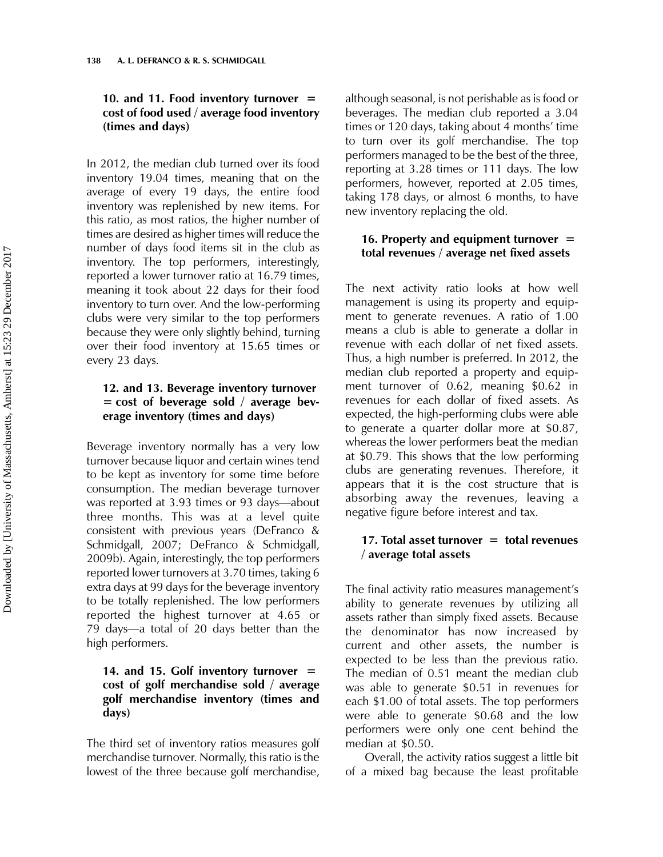# 10. and 11. Food inventory turnover  $=$ cost of food used / average food inventory (times and days)

In 2012, the median club turned over its food inventory 19.04 times, meaning that on the average of every 19 days, the entire food inventory was replenished by new items. For this ratio, as most ratios, the higher number of times are desired as higher times will reduce the number of days food items sit in the club as inventory. The top performers, interestingly, reported a lower turnover ratio at 16.79 times, meaning it took about 22 days for their food inventory to turn over. And the low-performing clubs were very similar to the top performers because they were only slightly behind, turning over their food inventory at 15.65 times or every 23 days.

# 12. and 13. Beverage inventory turnover  $=$  cost of beverage sold / average beverage inventory (times and days)

Beverage inventory normally has a very low turnover because liquor and certain wines tend to be kept as inventory for some time before consumption. The median beverage turnover was reported at 3.93 times or 93 days—about three months. This was at a level quite consistent with previous years (DeFranco & Schmidgall, 2007; DeFranco & Schmidgall, 2009b). Again, interestingly, the top performers reported lower turnovers at 3.70 times, taking 6 extra days at 99 days for the beverage inventory to be totally replenished. The low performers reported the highest turnover at 4.65 or 79 days—a total of 20 days better than the high performers.

# 14. and 15. Golf inventory turnover  $=$ cost of golf merchandise sold / average golf merchandise inventory (times and days)

The third set of inventory ratios measures golf merchandise turnover. Normally, this ratio is the lowest of the three because golf merchandise,

although seasonal, is not perishable as is food or beverages. The median club reported a 3.04 times or 120 days, taking about 4 months' time to turn over its golf merchandise. The top performers managed to be the best of the three, reporting at 3.28 times or 111 days. The low performers, however, reported at 2.05 times, taking 178 days, or almost 6 months, to have new inventory replacing the old.

# 16. Property and equipment turnover  $=$ total revenues / average net fixed assets

The next activity ratio looks at how well management is using its property and equipment to generate revenues. A ratio of 1.00 means a club is able to generate a dollar in revenue with each dollar of net fixed assets. Thus, a high number is preferred. In 2012, the median club reported a property and equipment turnover of 0.62, meaning \$0.62 in revenues for each dollar of fixed assets. As expected, the high-performing clubs were able to generate a quarter dollar more at \$0.87, whereas the lower performers beat the median at \$0.79. This shows that the low performing clubs are generating revenues. Therefore, it appears that it is the cost structure that is absorbing away the revenues, leaving a negative figure before interest and tax.

# 17. Total asset turnover  $=$  total revenues / average total assets

The final activity ratio measures management's ability to generate revenues by utilizing all assets rather than simply fixed assets. Because the denominator has now increased by current and other assets, the number is expected to be less than the previous ratio. The median of 0.51 meant the median club was able to generate \$0.51 in revenues for each \$1.00 of total assets. The top performers were able to generate \$0.68 and the low performers were only one cent behind the median at \$0.50.

Overall, the activity ratios suggest a little bit of a mixed bag because the least profitable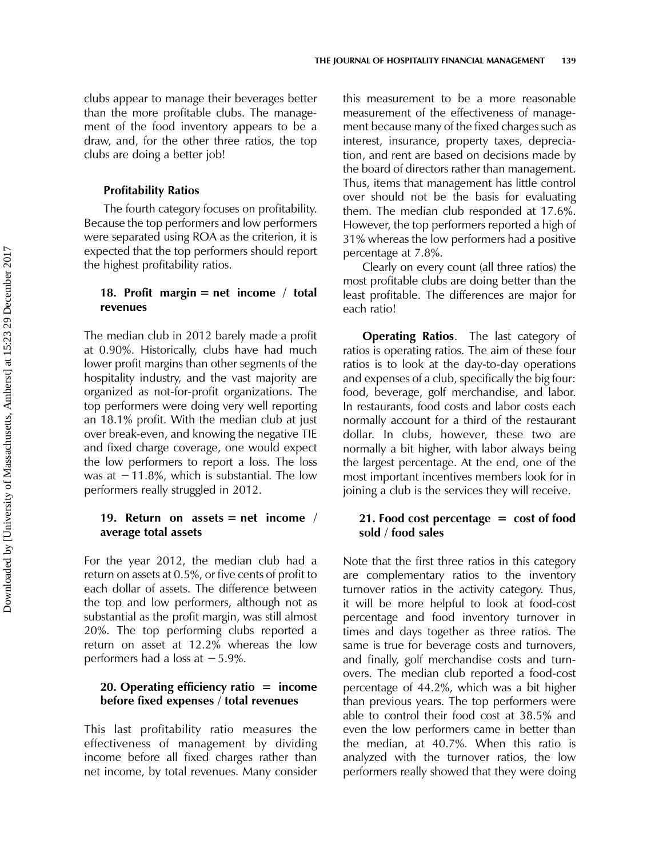clubs appear to manage their beverages better than the more profitable clubs. The management of the food inventory appears to be a draw, and, for the other three ratios, the top clubs are doing a better job!

#### Profitability Ratios

The fourth category focuses on profitability. Because the top performers and low performers were separated using ROA as the criterion, it is expected that the top performers should report the highest profitability ratios.

### 18. Profit margin  $=$  net income / total revenues

The median club in 2012 barely made a profit at 0.90%. Historically, clubs have had much lower profit margins than other segments of the hospitality industry, and the vast majority are organized as not-for-profit organizations. The top performers were doing very well reporting an 18.1% profit. With the median club at just over break-even, and knowing the negative TIE and fixed charge coverage, one would expect the low performers to report a loss. The loss was at  $-11.8\%$ , which is substantial. The low performers really struggled in 2012.

### 19. Return on assets  $=$  net income / average total assets

For the year 2012, the median club had a return on assets at 0.5%, or five cents of profit to each dollar of assets. The difference between the top and low performers, although not as substantial as the profit margin, was still almost 20%. The top performing clubs reported a return on asset at 12.2% whereas the low performers had a loss at  $-5.9\%$ .

### 20. Operating efficiency ratio  $=$  income before fixed expenses / total revenues

This last profitability ratio measures the effectiveness of management by dividing income before all fixed charges rather than net income, by total revenues. Many consider this measurement to be a more reasonable measurement of the effectiveness of management because many of the fixed charges such as interest, insurance, property taxes, depreciation, and rent are based on decisions made by the board of directors rather than management. Thus, items that management has little control over should not be the basis for evaluating them. The median club responded at 17.6%. However, the top performers reported a high of 31% whereas the low performers had a positive percentage at 7.8%.

Clearly on every count (all three ratios) the most profitable clubs are doing better than the least profitable. The differences are major for each ratio!

**Operating Ratios.** The last category of ratios is operating ratios. The aim of these four ratios is to look at the day-to-day operations and expenses of a club, specifically the big four: food, beverage, golf merchandise, and labor. In restaurants, food costs and labor costs each normally account for a third of the restaurant dollar. In clubs, however, these two are normally a bit higher, with labor always being the largest percentage. At the end, one of the most important incentives members look for in joining a club is the services they will receive.

### 21. Food cost percentage  $=$  cost of food sold / food sales

Note that the first three ratios in this category are complementary ratios to the inventory turnover ratios in the activity category. Thus, it will be more helpful to look at food-cost percentage and food inventory turnover in times and days together as three ratios. The same is true for beverage costs and turnovers, and finally, golf merchandise costs and turnovers. The median club reported a food-cost percentage of 44.2%, which was a bit higher than previous years. The top performers were able to control their food cost at 38.5% and even the low performers came in better than the median, at 40.7%. When this ratio is analyzed with the turnover ratios, the low performers really showed that they were doing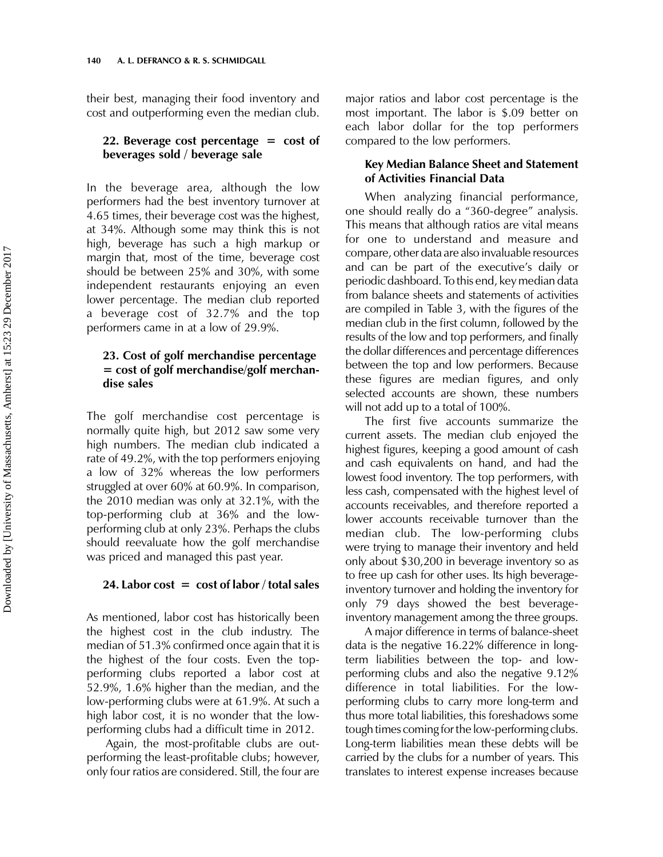their best, managing their food inventory and cost and outperforming even the median club.

# 22. Beverage cost percentage  $=$  cost of beverages sold / beverage sale

In the beverage area, although the low performers had the best inventory turnover at 4.65 times, their beverage cost was the highest, at 34%. Although some may think this is not high, beverage has such a high markup or margin that, most of the time, beverage cost should be between 25% and 30%, with some independent restaurants enjoying an even lower percentage. The median club reported a beverage cost of 32.7% and the top performers came in at a low of 29.9%.

# 23. Cost of golf merchandise percentage  $=$  cost of golf merchandise/golf merchandise sales

The golf merchandise cost percentage is normally quite high, but 2012 saw some very high numbers. The median club indicated a rate of 49.2%, with the top performers enjoying a low of 32% whereas the low performers struggled at over 60% at 60.9%. In comparison, the 2010 median was only at 32.1%, with the top-performing club at 36% and the lowperforming club at only 23%. Perhaps the clubs should reevaluate how the golf merchandise was priced and managed this past year.

#### 24. Labor cost  $=$  cost of labor / total sales

As mentioned, labor cost has historically been the highest cost in the club industry. The median of 51.3% confirmed once again that it is the highest of the four costs. Even the topperforming clubs reported a labor cost at 52.9%, 1.6% higher than the median, and the low-performing clubs were at 61.9%. At such a high labor cost, it is no wonder that the lowperforming clubs had a difficult time in 2012.

Again, the most-profitable clubs are outperforming the least-profitable clubs; however, only four ratios are considered. Still, the four are major ratios and labor cost percentage is the most important. The labor is \$.09 better on each labor dollar for the top performers compared to the low performers.

### Key Median Balance Sheet and Statement of Activities Financial Data

When analyzing financial performance, one should really do a "360-degree" analysis. This means that although ratios are vital means for one to understand and measure and compare, other data are also invaluable resources and can be part of the executive's daily or periodic dashboard. To this end, key median data from balance sheets and statements of activities are compiled in Table 3, with the figures of the median club in the first column, followed by the results of the low and top performers, and finally the dollar differences and percentage differences between the top and low performers. Because these figures are median figures, and only selected accounts are shown, these numbers will not add up to a total of 100%.

The first five accounts summarize the current assets. The median club enjoyed the highest figures, keeping a good amount of cash and cash equivalents on hand, and had the lowest food inventory. The top performers, with less cash, compensated with the highest level of accounts receivables, and therefore reported a lower accounts receivable turnover than the median club. The low-performing clubs were trying to manage their inventory and held only about \$30,200 in beverage inventory so as to free up cash for other uses. Its high beverageinventory turnover and holding the inventory for only 79 days showed the best beverageinventory management among the three groups.

A major difference in terms of balance-sheet data is the negative 16.22% difference in longterm liabilities between the top- and lowperforming clubs and also the negative 9.12% difference in total liabilities. For the lowperforming clubs to carry more long-term and thus more total liabilities, this foreshadows some tough times coming for the low-performing clubs. Long-term liabilities mean these debts will be carried by the clubs for a number of years. This translates to interest expense increases because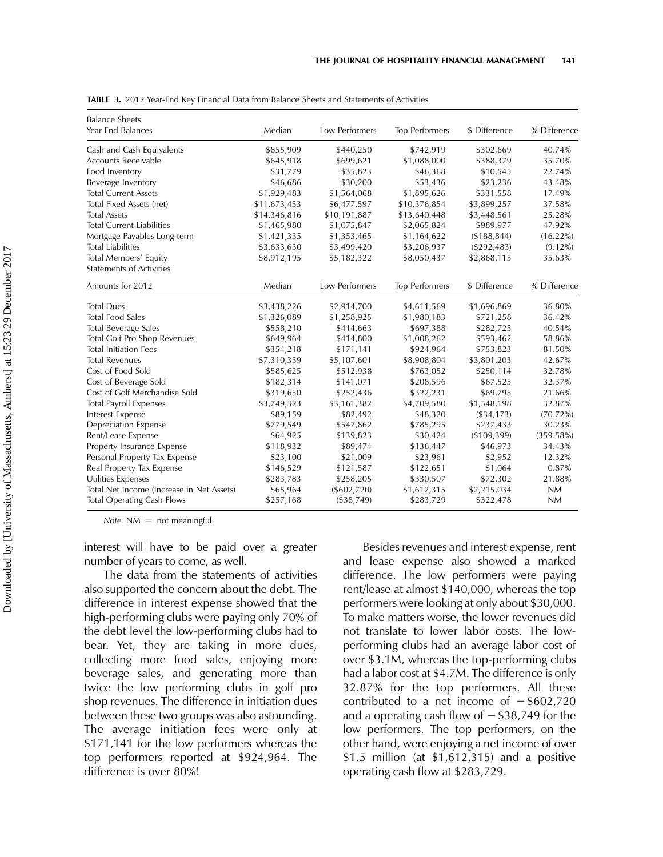| <b>Balance Sheets</b>                     |              |                |                       |               |              |
|-------------------------------------------|--------------|----------------|-----------------------|---------------|--------------|
| Year End Balances                         | Median       | Low Performers | <b>Top Performers</b> | \$ Difference | % Difference |
| Cash and Cash Equivalents                 | \$855,909    | \$440,250      | \$742,919             | \$302,669     | 40.74%       |
| <b>Accounts Receivable</b>                | \$645,918    | \$699,621      | \$1,088,000           | \$388,379     | 35.70%       |
| Food Inventory                            | \$31,779     | \$35,823       | \$46,368              | \$10,545      | 22.74%       |
| Beverage Inventory                        | \$46,686     | \$30,200       | \$53,436              | \$23,236      | 43.48%       |
| <b>Total Current Assets</b>               | \$1,929,483  | \$1,564,068    | \$1,895,626           | \$331,558     | 17.49%       |
| Total Fixed Assets (net)                  | \$11,673,453 | \$6,477,597    | \$10,376,854          | \$3,899,257   | 37.58%       |
| <b>Total Assets</b>                       | \$14,346,816 | \$10,191,887   | \$13,640,448          | \$3,448,561   | 25.28%       |
| <b>Total Current Liabilities</b>          | \$1,465,980  | \$1,075,847    | \$2,065,824           | \$989,977     | 47.92%       |
| Mortgage Payables Long-term               | \$1,421,335  | \$1,353,465    | \$1,164,622           | (\$188,844)   | $(16.22\%)$  |
| <b>Total Liabilities</b>                  | \$3,633,630  | \$3,499,420    | \$3,206,937           | (\$292,483)   | $(9.12\%)$   |
| Total Members' Equity                     | \$8,912,195  | \$5,182,322    | \$8,050,437           | \$2,868,115   | 35.63%       |
| <b>Statements of Activities</b>           |              |                |                       |               |              |
| Amounts for 2012                          | Median       | Low Performers | Top Performers        | \$ Difference | % Difference |
| <b>Total Dues</b>                         | \$3,438,226  | \$2,914,700    | \$4,611,569           | \$1,696,869   | 36.80%       |
| <b>Total Food Sales</b>                   | \$1,326,089  | \$1,258,925    | \$1,980,183           | \$721,258     | 36.42%       |
| <b>Total Beverage Sales</b>               | \$558,210    | \$414,663      | \$697,388             | \$282,725     | 40.54%       |
| Total Golf Pro Shop Revenues              | \$649,964    | \$414,800      | \$1,008,262           | \$593,462     | 58.86%       |
| <b>Total Initiation Fees</b>              | \$354,218    | \$171,141      | \$924,964             | \$753,823     | 81.50%       |
| <b>Total Revenues</b>                     | \$7,310,339  | \$5,107,601    | \$8,908,804           | \$3,801,203   | 42.67%       |
| Cost of Food Sold                         | \$585,625    | \$512,938      | \$763,052             | \$250,114     | 32.78%       |
| Cost of Beverage Sold                     | \$182,314    | \$141,071      | \$208,596             | \$67,525      | 32.37%       |
| Cost of Golf Merchandise Sold             | \$319,650    | \$252,436      | \$322,231             | \$69,795      | 21.66%       |
| <b>Total Payroll Expenses</b>             | \$3,749,323  | \$3,161,382    | \$4,709,580           | \$1,548,198   | 32.87%       |
| Interest Expense                          | \$89,159     | \$82,492       | \$48,320              | (\$34,173)    | (70.72%)     |
| <b>Depreciation Expense</b>               | \$779,549    | \$547,862      | \$785,295             | \$237,433     | 30.23%       |
| Rent/Lease Expense                        | \$64,925     | \$139,823      | \$30,424              | ( \$109, 399) | (359.58%)    |
| Property Insurance Expense                | \$118,932    | \$89,474       | \$136,447             | \$46,973      | 34.43%       |
| Personal Property Tax Expense             | \$23,100     | \$21,009       | \$23,961              | \$2,952       | 12.32%       |
| Real Property Tax Expense                 | \$146,529    | \$121,587      | \$122,651             | \$1,064       | 0.87%        |
| Utilities Expenses                        | \$283,783    | \$258,205      | \$330,507             | \$72,302      | 21.88%       |
| Total Net Income (Increase in Net Assets) | \$65,964     | (\$602,720)    | \$1,612,315           | \$2,215,034   | <b>NM</b>    |
| <b>Total Operating Cash Flows</b>         | \$257,168    | (\$38,749)     | \$283,729             | \$322,478     | <b>NM</b>    |

TABLE 3. 2012 Year-End Key Financial Data from Balance Sheets and Statements of Activities

 $Note. NM = not meaningful.$ 

interest will have to be paid over a greater number of years to come, as well.

The data from the statements of activities also supported the concern about the debt. The difference in interest expense showed that the high-performing clubs were paying only 70% of the debt level the low-performing clubs had to bear. Yet, they are taking in more dues, collecting more food sales, enjoying more beverage sales, and generating more than twice the low performing clubs in golf pro shop revenues. The difference in initiation dues between these two groups was also astounding. The average initiation fees were only at \$171,141 for the low performers whereas the top performers reported at \$924,964. The difference is over 80%!

Besides revenues and interest expense, rent and lease expense also showed a marked difference. The low performers were paying rent/lease at almost \$140,000, whereas the top performers were looking at only about \$30,000. To make matters worse, the lower revenues did not translate to lower labor costs. The lowperforming clubs had an average labor cost of over \$3.1M, whereas the top-performing clubs had a labor cost at \$4.7M. The difference is only 32.87% for the top performers. All these contributed to a net income of  $-$  \$602,720 and a operating cash flow of  $-$  \$38,749 for the low performers. The top performers, on the other hand, were enjoying a net income of over \$1.5 million (at \$1,612,315) and a positive operating cash flow at \$283,729.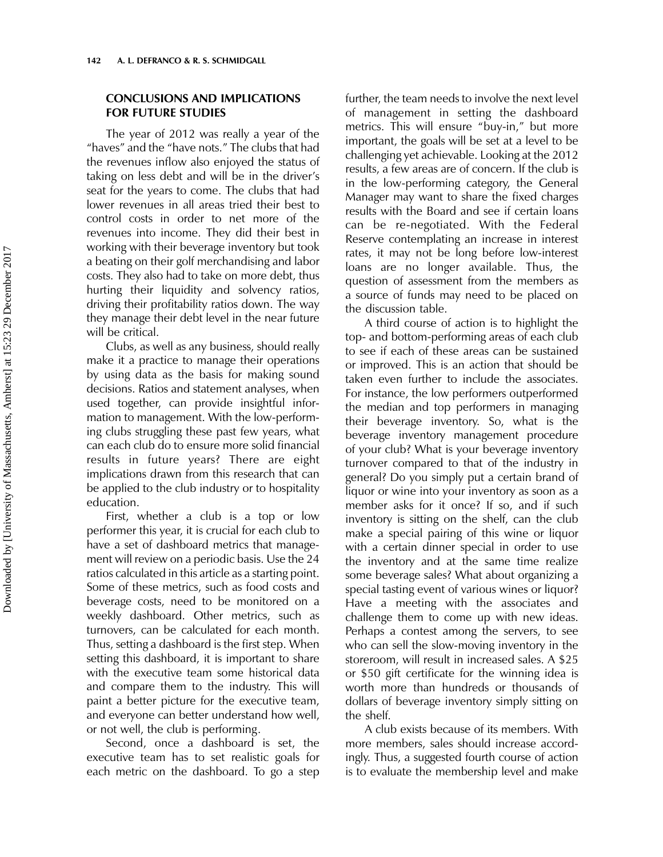# CONCLUSIONS AND IMPLICATIONS FOR FUTURE STUDIES

The year of 2012 was really a year of the "haves" and the "have nots." The clubs that had the revenues inflow also enjoyed the status of taking on less debt and will be in the driver's seat for the years to come. The clubs that had lower revenues in all areas tried their best to control costs in order to net more of the revenues into income. They did their best in working with their beverage inventory but took a beating on their golf merchandising and labor costs. They also had to take on more debt, thus hurting their liquidity and solvency ratios, driving their profitability ratios down. The way they manage their debt level in the near future will be critical.

Clubs, as well as any business, should really make it a practice to manage their operations by using data as the basis for making sound decisions. Ratios and statement analyses, when used together, can provide insightful information to management. With the low-performing clubs struggling these past few years, what can each club do to ensure more solid financial results in future years? There are eight implications drawn from this research that can be applied to the club industry or to hospitality education.

First, whether a club is a top or low performer this year, it is crucial for each club to have a set of dashboard metrics that management will review on a periodic basis. Use the 24 ratios calculated in this article as a starting point. Some of these metrics, such as food costs and beverage costs, need to be monitored on a weekly dashboard. Other metrics, such as turnovers, can be calculated for each month. Thus, setting a dashboard is the first step. When setting this dashboard, it is important to share with the executive team some historical data and compare them to the industry. This will paint a better picture for the executive team, and everyone can better understand how well, or not well, the club is performing.

Second, once a dashboard is set, the executive team has to set realistic goals for each metric on the dashboard. To go a step further, the team needs to involve the next level of management in setting the dashboard metrics. This will ensure "buy-in," but more important, the goals will be set at a level to be challenging yet achievable. Looking at the 2012 results, a few areas are of concern. If the club is in the low-performing category, the General Manager may want to share the fixed charges results with the Board and see if certain loans can be re-negotiated. With the Federal Reserve contemplating an increase in interest rates, it may not be long before low-interest loans are no longer available. Thus, the question of assessment from the members as a source of funds may need to be placed on the discussion table.

A third course of action is to highlight the top- and bottom-performing areas of each club to see if each of these areas can be sustained or improved. This is an action that should be taken even further to include the associates. For instance, the low performers outperformed the median and top performers in managing their beverage inventory. So, what is the beverage inventory management procedure of your club? What is your beverage inventory turnover compared to that of the industry in general? Do you simply put a certain brand of liquor or wine into your inventory as soon as a member asks for it once? If so, and if such inventory is sitting on the shelf, can the club make a special pairing of this wine or liquor with a certain dinner special in order to use the inventory and at the same time realize some beverage sales? What about organizing a special tasting event of various wines or liquor? Have a meeting with the associates and challenge them to come up with new ideas. Perhaps a contest among the servers, to see who can sell the slow-moving inventory in the storeroom, will result in increased sales. A \$25 or \$50 gift certificate for the winning idea is worth more than hundreds or thousands of dollars of beverage inventory simply sitting on the shelf.

A club exists because of its members. With more members, sales should increase accordingly. Thus, a suggested fourth course of action is to evaluate the membership level and make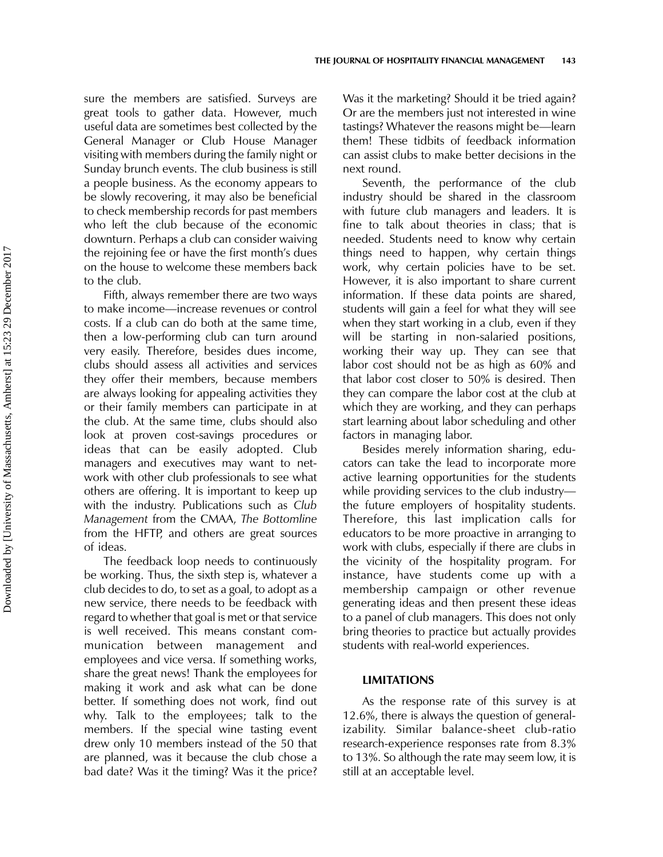sure the members are satisfied. Surveys are great tools to gather data. However, much useful data are sometimes best collected by the General Manager or Club House Manager visiting with members during the family night or Sunday brunch events. The club business is still a people business. As the economy appears to be slowly recovering, it may also be beneficial to check membership records for past members who left the club because of the economic downturn. Perhaps a club can consider waiving the rejoining fee or have the first month's dues on the house to welcome these members back to the club.

Fifth, always remember there are two ways to make income—increase revenues or control costs. If a club can do both at the same time, then a low-performing club can turn around very easily. Therefore, besides dues income, clubs should assess all activities and services they offer their members, because members are always looking for appealing activities they or their family members can participate in at the club. At the same time, clubs should also look at proven cost-savings procedures or ideas that can be easily adopted. Club managers and executives may want to network with other club professionals to see what others are offering. It is important to keep up with the industry. Publications such as Club Management from the CMAA, The Bottomline from the HFTP, and others are great sources of ideas.

The feedback loop needs to continuously be working. Thus, the sixth step is, whatever a club decides to do, to set as a goal, to adopt as a new service, there needs to be feedback with regard to whether that goal is met or that service is well received. This means constant communication between management and employees and vice versa. If something works, share the great news! Thank the employees for making it work and ask what can be done better. If something does not work, find out why. Talk to the employees; talk to the members. If the special wine tasting event drew only 10 members instead of the 50 that are planned, was it because the club chose a bad date? Was it the timing? Was it the price?

Was it the marketing? Should it be tried again? Or are the members just not interested in wine tastings? Whatever the reasons might be—learn them! These tidbits of feedback information can assist clubs to make better decisions in the next round.

Seventh, the performance of the club industry should be shared in the classroom with future club managers and leaders. It is fine to talk about theories in class; that is needed. Students need to know why certain things need to happen, why certain things work, why certain policies have to be set. However, it is also important to share current information. If these data points are shared, students will gain a feel for what they will see when they start working in a club, even if they will be starting in non-salaried positions, working their way up. They can see that labor cost should not be as high as 60% and that labor cost closer to 50% is desired. Then they can compare the labor cost at the club at which they are working, and they can perhaps start learning about labor scheduling and other factors in managing labor.

Besides merely information sharing, educators can take the lead to incorporate more active learning opportunities for the students while providing services to the club industry the future employers of hospitality students. Therefore, this last implication calls for educators to be more proactive in arranging to work with clubs, especially if there are clubs in the vicinity of the hospitality program. For instance, have students come up with a membership campaign or other revenue generating ideas and then present these ideas to a panel of club managers. This does not only bring theories to practice but actually provides students with real-world experiences.

#### LIMITATIONS

As the response rate of this survey is at 12.6%, there is always the question of generalizability. Similar balance-sheet club-ratio research-experience responses rate from 8.3% to 13%. So although the rate may seem low, it is still at an acceptable level.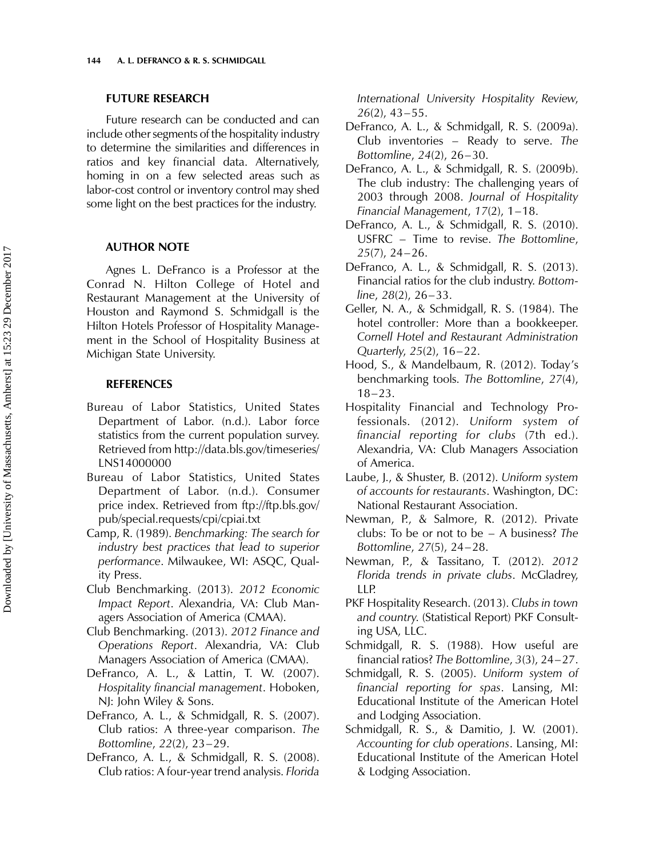#### FUTURE RESEARCH

Future research can be conducted and can include other segments of the hospitality industry to determine the similarities and differences in ratios and key financial data. Alternatively, homing in on a few selected areas such as labor-cost control or inventory control may shed some light on the best practices for the industry.

#### AUTHOR NOTE

Agnes L. DeFranco is a Professor at the Conrad N. Hilton College of Hotel and Restaurant Management at the University of Houston and Raymond S. Schmidgall is the Hilton Hotels Professor of Hospitality Management in the School of Hospitality Business at Michigan State University.

#### REFERENCES

- Bureau of Labor Statistics, United States Department of Labor. (n.d.). Labor force statistics from the current population survey. Retrieved from [http://data.bls.gov/timeseries/](http://data.bls.gov/timeseries/LNS14000000) [LNS14000000](http://data.bls.gov/timeseries/LNS14000000)
- Bureau of Labor Statistics, United States Department of Labor. (n.d.). Consumer price index. Retrieved from [ftp://ftp.bls.gov/](ftp://ftp://ftp.bls.gov/pub/special.requests/cpi/cpiai.txt) [pub/special.requests/cpi/cpiai.txt](ftp://ftp://ftp.bls.gov/pub/special.requests/cpi/cpiai.txt)
- Camp, R. (1989). Benchmarking: The search for industry best practices that lead to superior performance. Milwaukee, WI: ASQC, Quality Press.
- Club Benchmarking. (2013). 2012 Economic Impact Report. Alexandria, VA: Club Managers Association of America (CMAA).
- Club Benchmarking. (2013). 2012 Finance and Operations Report. Alexandria, VA: Club Managers Association of America (CMAA).
- DeFranco, A. L., & Lattin, T. W. (2007). Hospitality financial management. Hoboken, NJ: John Wiley & Sons.
- DeFranco, A. L., & Schmidgall, R. S. (2007). Club ratios: A three-year comparison. The Bottomline, 22(2), 23–29.
- DeFranco, A. L., & Schmidgall, R. S. (2008). Club ratios: A four-year trend analysis. Florida

International University Hospitality Review,  $26(2)$ , 43-55.

- DeFranco, A. L., & Schmidgall, R. S. (2009a). Club inventories – Ready to serve. The Bottomline, 24(2), 26 –30.
- DeFranco, A. L., & Schmidgall, R. S. (2009b). The club industry: The challenging years of 2003 through 2008. Journal of Hospitality Financial Management, 17(2), 1–18.
- DeFranco, A. L., & Schmidgall, R. S. (2010). USFRC – Time to revise. The Bottomline,  $25(7)$ ,  $24-26$ .
- DeFranco, A. L., & Schmidgall, R. S. (2013). Financial ratios for the club industry. Bottom $line, 28(2), 26-33.$
- Geller, N. A., & Schmidgall, R. S. (1984). The hotel controller: More than a bookkeeper. Cornell Hotel and Restaurant Administration Quarterly, 25(2), 16–22.
- Hood, S., & Mandelbaum, R. (2012). Today's benchmarking tools. The Bottomline, 27(4), 18–23.
- Hospitality Financial and Technology Professionals. (2012). Uniform system of financial reporting for clubs (7th ed.). Alexandria, VA: Club Managers Association of America.
- Laube, J., & Shuster, B. (2012). Uniform system of accounts for restaurants. Washington, DC: National Restaurant Association.
- Newman, P., & Salmore, R. (2012). Private clubs: To be or not to be – A business? The Bottomline, 27(5), 24 –28.
- Newman, P., & Tassitano, T. (2012). 2012 Florida trends in private clubs. McGladrey, LLP.
- PKF Hospitality Research. (2013). Clubs in town and country. (Statistical Report) PKF Consulting USA, LLC.
- Schmidgall, R. S. (1988). How useful are financial ratios? The Bottomline, 3(3), 24–27.
- Schmidgall, R. S. (2005). Uniform system of financial reporting for spas. Lansing, MI: Educational Institute of the American Hotel and Lodging Association.
- Schmidgall, R. S., & Damitio, J. W. (2001). Accounting for club operations. Lansing, MI: Educational Institute of the American Hotel & Lodging Association.